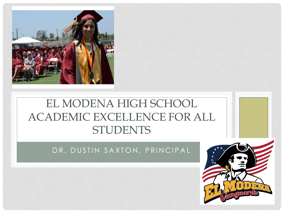

#### EL MODENA HIGH SCHOOL ACADEMIC EXCELLENCE FOR ALL STUDENTS

DR. DUSTIN SAXTON, PRINCIPAL

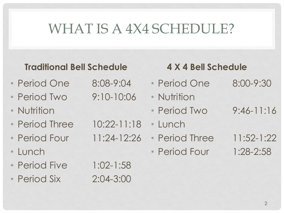# WHAT IS A 4X4 SCHEDULE?

#### **Traditional Bell Schedule**

- Period One 8:08-9:04
- Period Two 9:10-10:06
- Nutrition
- Period Three 10:22-11:18
- Period Four 11:24-12:26
- Lunch
- Period Five 1:02-1:58
- Period Six 2:04-3:00

- - -

#### **4 X 4 Bell Schedule**

- Period One 8:00-9:30
- Nutrition
- Period Two 9:46-11:16
- Lunch
- Period Three 11:52-1:22
- Period Four 1:28-2:58
- -
	-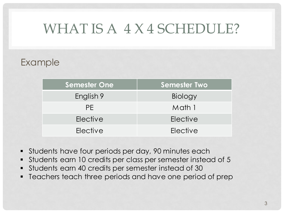### WHAT IS A 4 X 4 SCHEDULE?

#### Example

| <b>Semester One</b> | <b>Semester Two</b> |
|---------------------|---------------------|
| English 9           | Biology             |
| PF.                 | Math 1              |
| Elective            | Elective            |
| Elective            | Elective            |

- Students have four periods per day, 90 minutes each
- Students earn 10 credits per class per semester instead of 5
- Students earn 40 credits per semester instead of 30
- **•** Teachers teach three periods and have one period of prep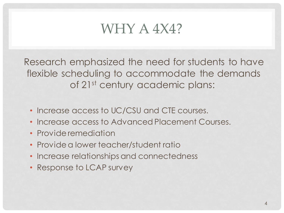#### WHY A 4X4?

Research emphasized the need for students to have flexible scheduling to accommodate the demands of 21st century academic plans:

- Increase access to UC/CSU and CTE courses.
- Increase access to Advanced Placement Courses.
- Provide remediation
- Provide a lower teacher/student ratio
- Increase relationships and connectedness
- Response to LCAP survey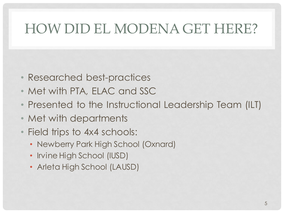# HOW DID EL MODENA GET HERE?

- Researched best-practices
- Met with PTA, ELAC and SSC
- Presented to the Instructional Leadership Team (ILT)
- Met with departments
- Field trips to 4x4 schools:
	- Newberry Park High School (Oxnard)
	- Irvine High School (IUSD)
	- Arleta High School (LAUSD)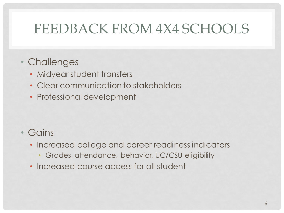### FEEDBACK FROM 4X4 SCHOOLS

#### • Challenges

- Midyear student transfers
- Clear communication to stakeholders
- Professional development

#### • Gains

- Increased college and career readiness indicators
	- Grades, attendance, behavior, UC/CSU eligibility
- Increased course access for all student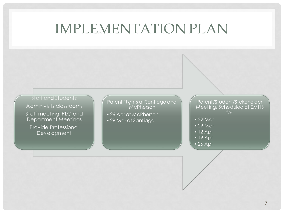#### IMPLEMENTATION PLAN

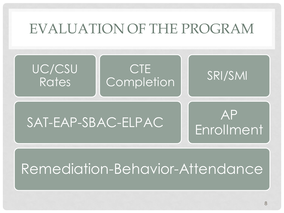### EVALUATION OF THE PROGRAM



# Remediation-Behavior-Attendance